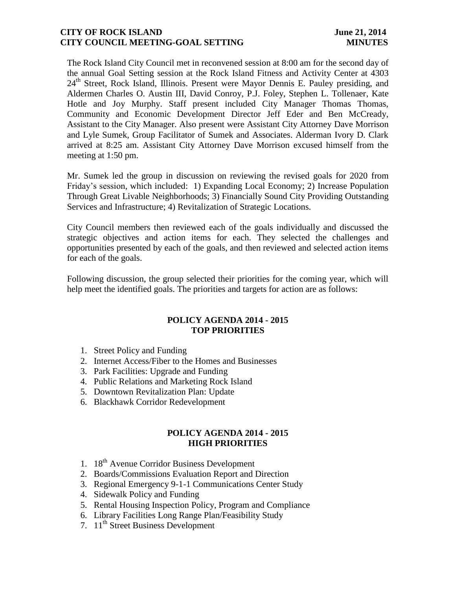#### **CITY OF ROCK ISLAND** June 21, 2014 **CITY COUNCIL MEETING-GOAL SETTING MINUTES**

The Rock Island City Council met in reconvened session at 8:00 am for the second day of the annual Goal Setting session at the Rock Island Fitness and Activity Center at 4303  $24<sup>th</sup>$  Street, Rock Island, Illinois. Present were Mayor Dennis E. Pauley presiding, and Aldermen Charles O. Austin III, David Conroy, P.J. Foley, Stephen L. Tollenaer, Kate Hotle and Joy Murphy. Staff present included City Manager Thomas Thomas, Community and Economic Development Director Jeff Eder and Ben McCready, Assistant to the City Manager. Also present were Assistant City Attorney Dave Morrison and Lyle Sumek, Group Facilitator of Sumek and Associates. Alderman Ivory D. Clark arrived at 8:25 am. Assistant City Attorney Dave Morrison excused himself from the meeting at 1:50 pm.

Mr. Sumek led the group in discussion on reviewing the revised goals for 2020 from Friday's session, which included: 1) Expanding Local Economy; 2) Increase Population Through Great Livable Neighborhoods; 3) Financially Sound City Providing Outstanding Services and Infrastructure; 4) Revitalization of Strategic Locations.

City Council members then reviewed each of the goals individually and discussed the strategic objectives and action items for each. They selected the challenges and opportunities presented by each of the goals, and then reviewed and selected action items for each of the goals.

Following discussion, the group selected their priorities for the coming year, which will help meet the identified goals. The priorities and targets for action are as follows:

#### **POLICY AGENDA 2014 - 2015 TOP PRIORITIES**

- 1. Street Policy and Funding
- 2. Internet Access/Fiber to the Homes and Businesses
- 3. Park Facilities: Upgrade and Funding
- 4. Public Relations and Marketing Rock Island
- 5. Downtown Revitalization Plan: Update
- 6. Blackhawk Corridor Redevelopment

### **POLICY AGENDA 2014 - 2015 HIGH PRIORITIES**

- 1. 18<sup>th</sup> Avenue Corridor Business Development
- 2. Boards/Commissions Evaluation Report and Direction
- 3. Regional Emergency 9-1-1 Communications Center Study
- 4. Sidewalk Policy and Funding
- 5. Rental Housing Inspection Policy, Program and Compliance
- 6. Library Facilities Long Range Plan/Feasibility Study
- 7. 11<sup>th</sup> Street Business Development